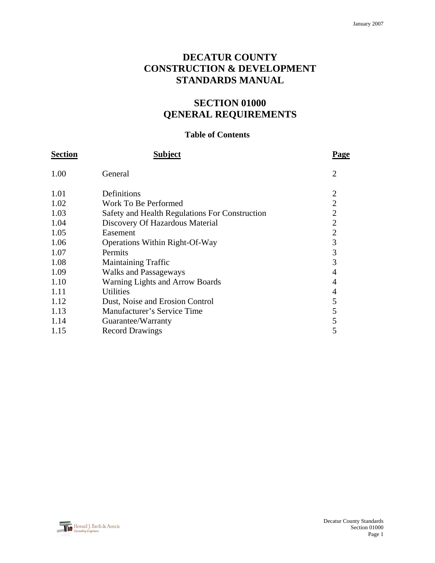# **DECATUR COUNTY CONSTRUCTION & DEVELOPMENT STANDARDS MANUAL**

# **SECTION 01000 QENERAL REQUIREMENTS**

# **Table of Contents**

| <b>Section</b> | <b>Subject</b>                                 | <b>Page</b>    |
|----------------|------------------------------------------------|----------------|
| 1.00           | General                                        | $\overline{2}$ |
| 1.01           | Definitions                                    | $\overline{2}$ |
| 1.02           | Work To Be Performed                           | $\overline{2}$ |
| 1.03           | Safety and Health Regulations For Construction | $\overline{2}$ |
| 1.04           | Discovery Of Hazardous Material                | $\overline{2}$ |
| 1.05           | Easement                                       | $\overline{2}$ |
| 1.06           | Operations Within Right-Of-Way                 | 3              |
| 1.07           | Permits                                        | 3              |
| 1.08           | <b>Maintaining Traffic</b>                     | 3              |
| 1.09           | <b>Walks and Passageways</b>                   | $\overline{4}$ |
| 1.10           | <b>Warning Lights and Arrow Boards</b>         | 4              |
| 1.11           | <b>Utilities</b>                               | 4              |
| 1.12           | Dust, Noise and Erosion Control                | 5              |
| 1.13           | Manufacturer's Service Time                    | 5              |
| 1.14           | Guarantee/Warranty                             | 5              |
| 1.15           | <b>Record Drawings</b>                         | 5              |
|                |                                                |                |

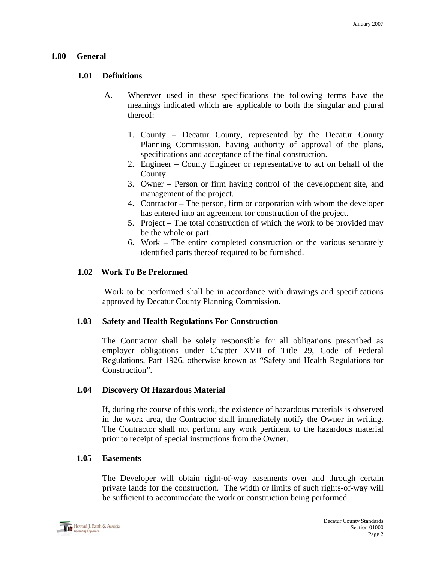### **1.00 General**

## **1.01 Definitions**

- A. Wherever used in these specifications the following terms have the meanings indicated which are applicable to both the singular and plural thereof:
	- 1. County Decatur County, represented by the Decatur County Planning Commission, having authority of approval of the plans, specifications and acceptance of the final construction.
	- 2. Engineer County Engineer or representative to act on behalf of the County.
	- 3. Owner Person or firm having control of the development site, and management of the project.
	- 4. Contractor The person, firm or corporation with whom the developer has entered into an agreement for construction of the project.
	- 5. Project The total construction of which the work to be provided may be the whole or part.
	- 6. Work The entire completed construction or the various separately identified parts thereof required to be furnished.

### **1.02 Work To Be Preformed**

Work to be performed shall be in accordance with drawings and specifications approved by Decatur County Planning Commission.

#### **1.03 Safety and Health Regulations For Construction**

The Contractor shall be solely responsible for all obligations prescribed as employer obligations under Chapter XVII of Title 29, Code of Federal Regulations, Part 1926, otherwise known as "Safety and Health Regulations for Construction".

#### **1.04 Discovery Of Hazardous Material**

If, during the course of this work, the existence of hazardous materials is observed in the work area, the Contractor shall immediately notify the Owner in writing. The Contractor shall not perform any work pertinent to the hazardous material prior to receipt of special instructions from the Owner.

#### **1.05 Easements**

The Developer will obtain right-of-way easements over and through certain private lands for the construction. The width or limits of such rights-of-way will be sufficient to accommodate the work or construction being performed.

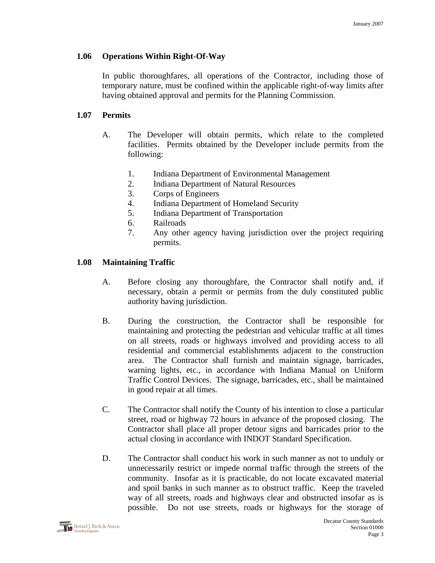## **1.06 Operations Within Right-Of-Way**

In public thoroughfares, all operations of the Contractor, including those of temporary nature, must be confined within the applicable right-of-way limits after having obtained approval and permits for the Planning Commission.

# **1.07 Permits**

- A. The Developer will obtain permits, which relate to the completed facilities. Permits obtained by the Developer include permits from the following:
	- 1. Indiana Department of Environmental Management
	- 2. Indiana Department of Natural Resources
	- 3. Corps of Engineers
	- 4. Indiana Department of Homeland Security
	- 5. Indiana Department of Transportation
	- 6. Railroads
	- 7. Any other agency having jurisdiction over the project requiring permits.

# **1.08 Maintaining Traffic**

- A. Before closing any thoroughfare, the Contractor shall notify and, if necessary, obtain a permit or permits from the duly constituted public authority having jurisdiction.
- B. During the construction, the Contractor shall be responsible for maintaining and protecting the pedestrian and vehicular traffic at all times on all streets, roads or highways involved and providing access to all residential and commercial establishments adjacent to the construction area. The Contractor shall furnish and maintain signage, barricades, warning lights, etc., in accordance with Indiana Manual on Uniform Traffic Control Devices. The signage, barricades, etc., shall be maintained in good repair at all times.
- C. The Contractor shall notify the County of his intention to close a particular street, road or highway 72 hours in advance of the proposed closing. The Contractor shall place all proper detour signs and barricades prior to the actual closing in accordance with INDOT Standard Specification.
- D. The Contractor shall conduct his work in such manner as not to unduly or unnecessarily restrict or impede normal traffic through the streets of the community. Insofar as it is practicable, do not locate excavated material and spoil banks in such manner as to obstruct traffic. Keep the traveled way of all streets, roads and highways clear and obstructed insofar as is possible. Do not use streets, roads or highways for the storage of

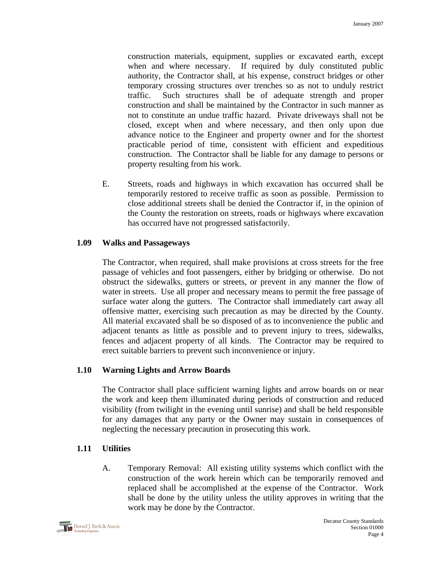construction materials, equipment, supplies or excavated earth, except when and where necessary. If required by duly constituted public authority, the Contractor shall, at his expense, construct bridges or other temporary crossing structures over trenches so as not to unduly restrict traffic. Such structures shall be of adequate strength and proper construction and shall be maintained by the Contractor in such manner as not to constitute an undue traffic hazard. Private driveways shall not be closed, except when and where necessary, and then only upon due advance notice to the Engineer and property owner and for the shortest practicable period of time, consistent with efficient and expeditious construction. The Contractor shall be liable for any damage to persons or property resulting from his work.

E. Streets, roads and highways in which excavation has occurred shall be temporarily restored to receive traffic as soon as possible. Permission to close additional streets shall be denied the Contractor if, in the opinion of the County the restoration on streets, roads or highways where excavation has occurred have not progressed satisfactorily.

# **1.09 Walks and Passageways**

The Contractor, when required, shall make provisions at cross streets for the free passage of vehicles and foot passengers, either by bridging or otherwise. Do not obstruct the sidewalks, gutters or streets, or prevent in any manner the flow of water in streets. Use all proper and necessary means to permit the free passage of surface water along the gutters. The Contractor shall immediately cart away all offensive matter, exercising such precaution as may be directed by the County. All material excavated shall be so disposed of as to inconvenience the public and adjacent tenants as little as possible and to prevent injury to trees, sidewalks, fences and adjacent property of all kinds. The Contractor may be required to erect suitable barriers to prevent such inconvenience or injury.

# **1.10 Warning Lights and Arrow Boards**

The Contractor shall place sufficient warning lights and arrow boards on or near the work and keep them illuminated during periods of construction and reduced visibility (from twilight in the evening until sunrise) and shall be held responsible for any damages that any party or the Owner may sustain in consequences of neglecting the necessary precaution in prosecuting this work.

## **1.11 Utilities**

A. Temporary Removal: All existing utility systems which conflict with the construction of the work herein which can be temporarily removed and replaced shall be accomplished at the expense of the Contractor. Work shall be done by the utility unless the utility approves in writing that the work may be done by the Contractor.